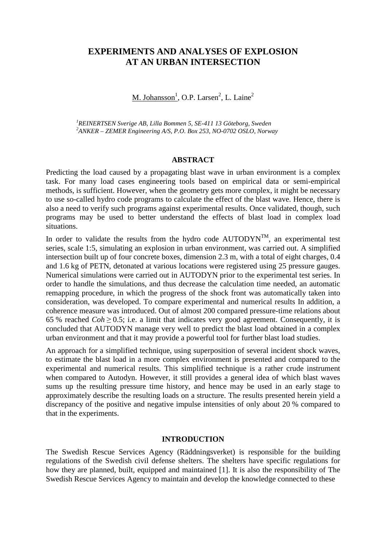# **EXPERIMENTS AND ANALYSES OF EXPLOSION AT AN URBAN INTERSECTION**

M. Johansson<sup>1</sup>, O.P. Larsen<sup>2</sup>, L. Laine<sup>2</sup>

*<sup>1</sup>REINERTSEN Sverige AB, Lilla Bommen 5, SE-411 13 Göteborg, Sweden <sup>2</sup>ANKER – ZEMER Engineering A/S, P.O. Box 253, NO-0702 OSLO, Norway* 

### **ABSTRACT**

Predicting the load caused by a propagating blast wave in urban environment is a complex task. For many load cases engineering tools based on empirical data or semi-empirical methods, is sufficient. However, when the geometry gets more complex, it might be necessary to use so-called hydro code programs to calculate the effect of the blast wave. Hence, there is also a need to verify such programs against experimental results. Once validated, though, such programs may be used to better understand the effects of blast load in complex load situations.

In order to validate the results from the hydro code  $\text{AUTODYN}^{TM}$ , an experimental test series, scale 1:5, simulating an explosion in urban environment, was carried out. A simplified intersection built up of four concrete boxes, dimension 2.3 m, with a total of eight charges, 0.4 and 1.6 kg of PETN, detonated at various locations were registered using 25 pressure gauges. Numerical simulations were carried out in AUTODYN prior to the experimental test series. In order to handle the simulations, and thus decrease the calculation time needed, an automatic remapping procedure, in which the progress of the shock front was automatically taken into consideration, was developed. To compare experimental and numerical results In addition, a coherence measure was introduced. Out of almost 200 compared pressure-time relations about 65 % reached  $Coh \ge 0.5$ ; i.e. a limit that indicates very good agreement. Consequently, it is concluded that AUTODYN manage very well to predict the blast load obtained in a complex urban environment and that it may provide a powerful tool for further blast load studies.

An approach for a simplified technique, using superposition of several incident shock waves, to estimate the blast load in a more complex environment is presented and compared to the experimental and numerical results. This simplified technique is a rather crude instrument when compared to Autodyn. However, it still provides a general idea of which blast waves sums up the resulting pressure time history, and hence may be used in an early stage to approximately describe the resulting loads on a structure. The results presented herein yield a discrepancy of the positive and negative impulse intensities of only about 20 % compared to that in the experiments.

### **INTRODUCTION**

The Swedish Rescue Services Agency (Räddningsverket) is responsible for the building regulations of the Swedish civil defense shelters. The shelters have specific regulations for how they are planned, built, equipped and maintained [1]. It is also the responsibility of The Swedish Rescue Services Agency to maintain and develop the knowledge connected to these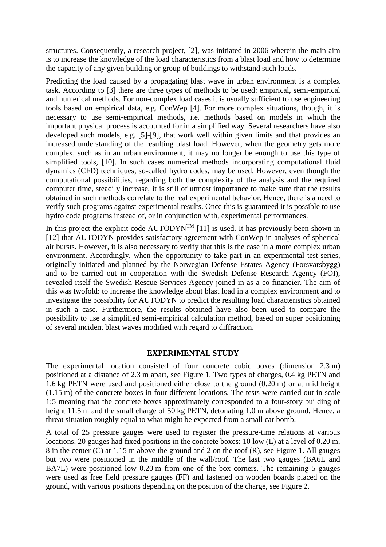structures. Consequently, a research project, [2], was initiated in 2006 wherein the main aim is to increase the knowledge of the load characteristics from a blast load and how to determine the capacity of any given building or group of buildings to withstand such loads.

Predicting the load caused by a propagating blast wave in urban environment is a complex task. According to [3] there are three types of methods to be used: empirical, semi-empirical and numerical methods. For non-complex load cases it is usually sufficient to use engineering tools based on empirical data, e.g. ConWep [4]. For more complex situations, though, it is necessary to use semi-empirical methods, i.e. methods based on models in which the important physical process is accounted for in a simplified way. Several researchers have also developed such models, e.g. [5]-[9], that work well within given limits and that provides an increased understanding of the resulting blast load. However, when the geometry gets more complex, such as in an urban environment, it may no longer be enough to use this type of simplified tools, [10]. In such cases numerical methods incorporating computational fluid dynamics (CFD) techniques, so-called hydro codes, may be used. However, even though the computational possibilities, regarding both the complexity of the analysis and the required computer time, steadily increase, it is still of utmost importance to make sure that the results obtained in such methods correlate to the real experimental behavior. Hence, there is a need to verify such programs against experimental results. Once this is guaranteed it is possible to use hydro code programs instead of, or in conjunction with, experimental performances.

In this project the explicit code  $\text{AUTODYN}^{\text{TM}}$  [11] is used. It has previously been shown in [12] that AUTODYN provides satisfactory agreement with ConWep in analyses of spherical air bursts. However, it is also necessary to verify that this is the case in a more complex urban environment. Accordingly, when the opportunity to take part in an experimental test-series, originally initiated and planned by the Norwegian Defense Estates Agency (Forsvarsbygg) and to be carried out in cooperation with the Swedish Defense Research Agency (FOI), revealed itself the Swedish Rescue Services Agency joined in as a co-financier. The aim of this was twofold: to increase the knowledge about blast load in a complex environment and to investigate the possibility for AUTODYN to predict the resulting load characteristics obtained in such a case. Furthermore, the results obtained have also been used to compare the possibility to use a simplified semi-empirical calculation method, based on super positioning of several incident blast waves modified with regard to diffraction.

### **EXPERIMENTAL STUDY**

The experimental location consisted of four concrete cubic boxes (dimension 2.3 m) positioned at a distance of 2.3 m apart, see Figure 1. Two types of charges, 0.4 kg PETN and 1.6 kg PETN were used and positioned either close to the ground (0.20 m) or at mid height (1.15 m) of the concrete boxes in four different locations. The tests were carried out in scale 1:5 meaning that the concrete boxes approximately corresponded to a four-story building of height 11.5 m and the small charge of 50 kg PETN, detonating 1.0 m above ground. Hence, a threat situation roughly equal to what might be expected from a small car bomb.

A total of 25 pressure gauges were used to register the pressure-time relations at various locations. 20 gauges had fixed positions in the concrete boxes: 10 low (L) at a level of 0.20 m, 8 in the center (C) at 1.15 m above the ground and 2 on the roof (R), see Figure 1. All gauges but two were positioned in the middle of the wall/roof. The last two gauges (BA6L and BA7L) were positioned low 0.20 m from one of the box corners. The remaining 5 gauges were used as free field pressure gauges (FF) and fastened on wooden boards placed on the ground, with various positions depending on the position of the charge, see Figure 2.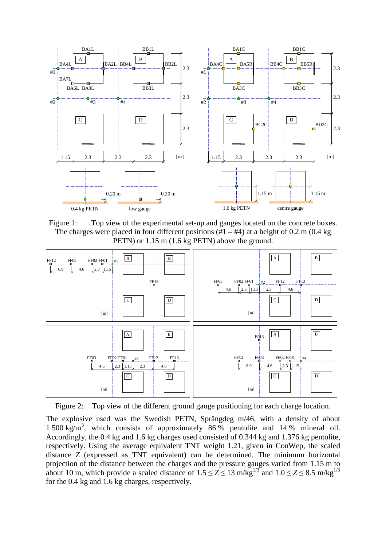

Figure 1: Top view of the experimental set-up and gauges located on the concrete boxes. The charges were placed in four different positions  $(\#1 - \#4)$  at a height of 0.2 m (0.4 kg) PETN) or 1.15 m (1.6 kg PETN) above the ground.



Figure 2: Top view of the different ground gauge positioning for each charge location.

The explosive used was the Swedish PETN, Sprängdeg m/46, with a density of about 1 500 kg/m<sup>3</sup> , which consists of approximately 86 % pentolite and 14 % mineral oil. Accordingly, the 0.4 kg and 1.6 kg charges used consisted of 0.344 kg and 1.376 kg pentolite, respectively. Using the average equivalent TNT weight 1.21, given in ConWep, the scaled distance *Z* (expressed as TNT equivalent) can be determined. The minimum horizontal projection of the distance between the charges and the pressure gauges varied from 1.15 m to about 10 m, which provide a scaled distance of  $1.5 \le Z \le 13$  m/kg<sup>1/3</sup> and  $1.0 \le Z \le 8.5$  m/kg<sup>1/3</sup> for the 0.4 kg and 1.6 kg charges, respectively.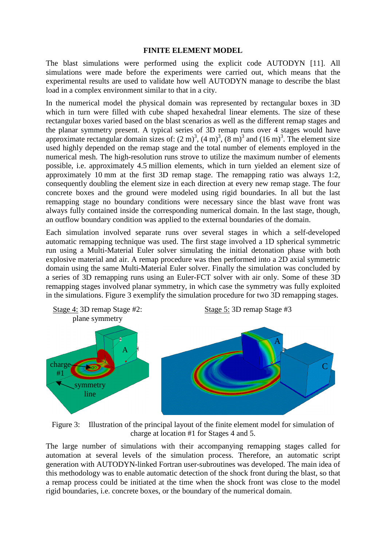### **FINITE ELEMENT MODEL**

The blast simulations were performed using the explicit code AUTODYN [11]. All simulations were made before the experiments were carried out, which means that the experimental results are used to validate how well AUTODYN manage to describe the blast load in a complex environment similar to that in a city.

In the numerical model the physical domain was represented by rectangular boxes in 3D which in turn were filled with cube shaped hexahedral linear elements. The size of these rectangular boxes varied based on the blast scenarios as well as the different remap stages and the planar symmetry present. A typical series of 3D remap runs over 4 stages would have approximate rectangular domain sizes of:  $(2 \text{ m})^3$ ,  $(4 \text{ m})^3$ ,  $(8 \text{ m})^3$  and  $(16 \text{ m})^3$ . The element size used highly depended on the remap stage and the total number of elements employed in the numerical mesh. The high-resolution runs strove to utilize the maximum number of elements possible, i.e. approximately 4.5 million elements, which in turn yielded an element size of approximately 10 mm at the first 3D remap stage. The remapping ratio was always 1:2, consequently doubling the element size in each direction at every new remap stage. The four concrete boxes and the ground were modeled using rigid boundaries. In all but the last remapping stage no boundary conditions were necessary since the blast wave front was always fully contained inside the corresponding numerical domain. In the last stage, though, an outflow boundary condition was applied to the external boundaries of the domain.

Each simulation involved separate runs over several stages in which a self-developed automatic remapping technique was used. The first stage involved a 1D spherical symmetric run using a Multi-Material Euler solver simulating the initial detonation phase with both explosive material and air. A remap procedure was then performed into a 2D axial symmetric domain using the same Multi-Material Euler solver. Finally the simulation was concluded by a series of 3D remapping runs using an Euler-FCT solver with air only. Some of these 3D remapping stages involved planar symmetry, in which case the symmetry was fully exploited in the simulations. Figure 3 exemplify the simulation procedure for two 3D remapping stages.



Figure 3: Illustration of the principal layout of the finite element model for simulation of charge at location #1 for Stages 4 and 5.

The large number of simulations with their accompanying remapping stages called for automation at several levels of the simulation process. Therefore, an automatic script generation with AUTODYN-linked Fortran user-subroutines was developed. The main idea of this methodology was to enable automatic detection of the shock front during the blast, so that a remap process could be initiated at the time when the shock front was close to the model rigid boundaries, i.e. concrete boxes, or the boundary of the numerical domain.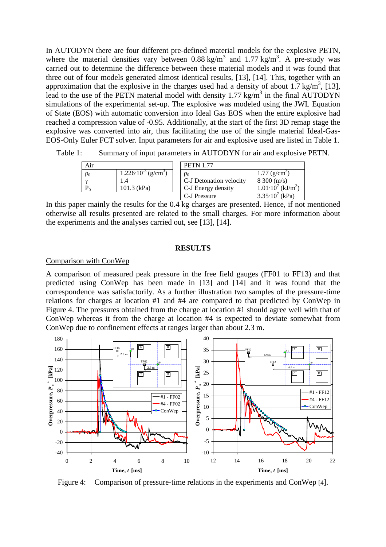In AUTODYN there are four different pre-defined material models for the explosive PETN, where the material densities vary between  $0.88 \text{ kg/m}^3$  and  $1.77 \text{ kg/m}^3$ . A pre-study was carried out to determine the difference between these material models and it was found that three out of four models generated almost identical results, [13], [14]. This, together with an approximation that the explosive in the charges used had a density of about 1.7 kg/m<sup>3</sup>, [13], lead to the use of the PETN material model with density  $1.77 \text{ kg/m}^3$  in the final AUTODYN simulations of the experimental set-up. The explosive was modeled using the JWL Equation of State (EOS) with automatic conversion into Ideal Gas EOS when the entire explosive had reached a compression value of -0.95. Additionally, at the start of the first 3D remap stage the explosive was converted into air, thus facilitating the use of the single material Ideal-Gas-EOS-Only Euler FCT solver. Input parameters for air and explosive used are listed in Table 1.

Table 1: Summary of input parameters in AUTODYN for air and explosive PETN.

| Air      |                                                             | <b>PETN 1.77</b>                                                          |                                                                                                            |  |  |  |  |  |
|----------|-------------------------------------------------------------|---------------------------------------------------------------------------|------------------------------------------------------------------------------------------------------------|--|--|--|--|--|
| $\rho_0$ | $1.226 \cdot 10^{-3}$ (g/cm <sup>3</sup> )<br>$101.3$ (kPa) | $\rho_0$<br>C-J Detonation velocity<br>C-J Energy density<br>C-J Pressure | $1.77 \text{ (g/cm)}$<br>8300 (m/s)<br>$1.01 \cdot 10^7$ (kJ/m <sup>3</sup> )<br>$3.35 \cdot 10^{7}$ (kPa) |  |  |  |  |  |

In this paper mainly the results for the 0.4 kg charges are presented. Hence, if not mentioned otherwise all results presented are related to the small charges. For more information about the experiments and the analyses carried out, see [13], [14].

### **RESULTS**

## Comparison with ConWep

A comparison of measured peak pressure in the free field gauges (FF01 to FF13) and that predicted using ConWep has been made in [13] and [14] and it was found that the correspondence was satisfactorily. As a further illustration two samples of the pressure-time relations for charges at location #1 and #4 are compared to that predicted by ConWep in Figure 4. The pressures obtained from the charge at location #1 should agree well with that of ConWep whereas it from the charge at location #4 is expected to deviate somewhat from ConWep due to confinement effects at ranges larger than about 2.3 m.



Figure 4: Comparison of pressure-time relations in the experiments and ConWep [4].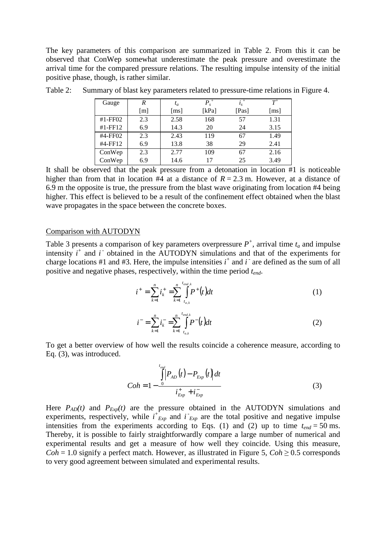The key parameters of this comparison are summarized in Table 2. From this it can be observed that ConWep somewhat underestimate the peak pressure and overestimate the arrival time for the compared pressure relations. The resulting impulse intensity of the initial positive phase, though, is rather similar.

| Gauge      | R                 | $t_a$              | $P_{s}^{\ +}$ | $i_s^+$ | $T^{\scriptscriptstyle +}$ |
|------------|-------------------|--------------------|---------------|---------|----------------------------|
|            | $\lceil m \rceil$ | $\lceil ms \rceil$ | [kPa]         | [Pas]   | $\lceil ms \rceil$         |
| $#1$ -FF02 | 2.3               | 2.58               | 168           | 57      | 1.31                       |
| $#1$ -FF12 | 6.9               | 14.3               | 20            | 24      | 3.15                       |
| #4-FF02    | 2.3               | 2.43               | 119           | 67      | 1.49                       |
| #4-FF12    | 6.9               | 13.8               | 38            | 29      | 2.41                       |
| ConWep     | 2.3               | 2.77               | 109           | 67      | 2.16                       |
| ConWep     | 6.9               | 14.6               | 17            | 25      | 3.49                       |

Table 2: Summary of blast key parameters related to pressure-time relations in Figure 4.

It shall be observed that the peak pressure from a detonation in location #1 is noticeable higher than from that in location  $#4$  at a distance of  $R = 2.3$  m. However, at a distance of 6.9 m the opposite is true, the pressure from the blast wave originating from location #4 being higher. This effect is believed to be a result of the confinement effect obtained when the blast wave propagates in the space between the concrete boxes.

### Comparison with AUTODYN

Table 3 presents a comparison of key parameters overpressure  $P^+$ , arrival time  $t_a$  and impulse intensity  $i^+$  and  $i^-$  obtained in the AUTODYN simulations and that of the experiments for charge locations #1 and #3. Here, the impulse intensities  $i^+$  and  $i^-$  are defined as the sum of all positive and negative phases, respectively, within the time period *tend*.

$$
i^{+} = \sum_{k=1}^{n} i_{k}^{+} = \sum_{k=1}^{n} \int_{t_{a,k}}^{t_{end,k}} P^{+}(t) dt
$$
 (1)

$$
i^{-} = \sum_{k=1}^{n} i_{k}^{-} = \sum_{k=1}^{n} \int_{t_{a,k}}^{t_{end,k}} P^{-}(t) dt
$$
 (2)

To get a better overview of how well the results coincide a coherence measure, according to Eq. (3), was introduced.

$$
Coh = 1 - \frac{\int_{0}^{t_{end}} P_{AD}(t) - P_{Exp}(t) dt}{i_{Exp}^{+} + i_{Exp}^{-}}
$$
(3)

Here  $P_{AD}(t)$  and  $P_{Exp}(t)$  are the pressure obtained in the AUTODYN simulations and experiments, respectively, while  $i^{\dagger}_{Exp}$  and  $i^{\dagger}_{Exp}$  are the total positive and negative impulse intensities from the experiments according to Eqs. (1) and (2) up to time  $t_{end} = 50$  ms. Thereby, it is possible to fairly straightforwardly compare a large number of numerical and experimental results and get a measure of how well they coincide. Using this measure, *Coh* = 1.0 signify a perfect match. However, as illustrated in Figure 5, *Coh*  $\geq$  0.5 corresponds to very good agreement between simulated and experimental results.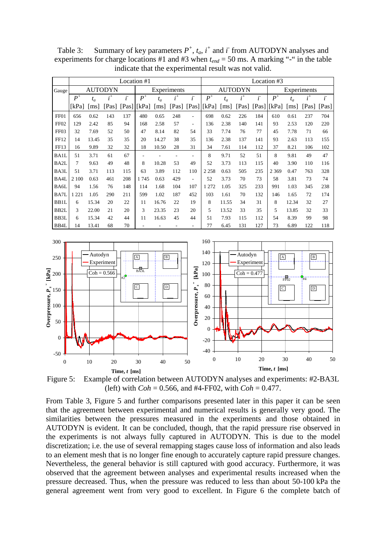|                   | Location #1 |                    |         |            |       |                    |             |                          | Location #3            |       |       |            |         |                    |       |            |
|-------------------|-------------|--------------------|---------|------------|-------|--------------------|-------------|--------------------------|------------------------|-------|-------|------------|---------|--------------------|-------|------------|
| Gauge             |             |                    | AUTODYN |            |       |                    | Experiments |                          | AUTODYN<br>Experiments |       |       |            |         |                    |       |            |
|                   | $P^+$       | $t_a$              | $i^+$   | $\ddot{i}$ | $P^+$ | $t_a$              | $i^+$       | $\ddot{i}$               | $P^+$                  | $t_a$ | $i^+$ | $\ddot{i}$ | $P^+$   | $t_a$              | $i^+$ | $\ddot{i}$ |
|                   | [kPa]       | $\lceil ms \rceil$ | [Pas]   | [Pas]      | [kPa] | $\lceil ms \rceil$ |             | [Pas] [Pas]              | [kPa]                  | [ms]  | [Pas] | [Pas]      | [kPa]   | $\lceil ms \rceil$ | [Pas] | [Pas]      |
| FF01              | 656         | 0.62               | 143     | 137        | 480   | 0.65               | 248         | L,                       | 698                    | 0.62  | 226   | 184        | 610     | 0.61               | 237   | 704        |
| FF <sub>02</sub>  | 129         | 2.42               | 85      | 94         | 168   | 2.58               | 57          | $\overline{\phantom{a}}$ | 136                    | 2.38  | 140   | 141        | 93      | 2.53               | 120   | 220        |
| FF <sub>03</sub>  | 32          | 7.69               | 52      | 50         | 47    | 8.14               | 82          | 54                       | 33                     | 7.74  | 76    | 77         | 45      | 7.78               | 71    | 66         |
| FF12              | 14          | 13.45              | 35      | 35         | 20    | 14.27              | 38          | 35                       | 136                    | 2.38  | 137   | 141        | 93      | 2.63               | 113   | 155        |
| FF13              | 16          | 9.89               | 32      | 32         | 18    | 10.50              | 28          | 31                       | 34                     | 7.61  | 114   | 112        | 37      | 8.21               | 106   | 102        |
| BA1L              | 51          | 3.71               | 61      | 67         | ٠     |                    |             |                          | 8                      | 9.71  | 52    | 51         | 8       | 9.81               | 49    | 47         |
| BA2L              | 7           | 9.63               | 49      | 48         | 8     | 10.28              | 53          | 49                       | 52                     | 3.73  | 113   | 115        | 40      | 3.90               | 110   | 116        |
| BA3L              | 51          | 3.71               | 113     | 115        | 63    | 3.89               | 112         | 110                      | 2 2 5 8                | 0.63  | 505   | 235        | 2 3 6 9 | 0.47               | 763   | 328        |
| BA4L              | 2 100       | 0.63               | 461     | 208        | 1745  | 0.63               | 429         | ٠                        | 52                     | 3.73  | 70    | 73         | 58      | 3.81               | 73    | 74         |
| BA6L              | 94          | 1.56               | 76      | 148        | 114   | 1.68               | 104         | 107                      | 1 2 7 2                | 1.05  | 325   | 233        | 991     | 1.03               | 345   | 238        |
| BA7L              | 1 2 2 1     | 1.05               | 290     | 211        | 599   | 1.02               | 187         | 452                      | 103                    | 1.61  | 70    | 132        | 146     | 1.65               | 72    | 174        |
| BB1L              | 6           | 15.34              | 20      | 22         | 11    | 16.76              | 22          | 19                       | 8                      | 11.55 | 34    | 31         | 8       | 12.34              | 32    | 27         |
| BB <sub>2</sub> L | 3           | 22.00              | 21      | 20         | 3     | 23.35              | 23          | 20                       | 5                      | 13.52 | 33    | 35         | 5       | 13.85              | 32    | 33         |
| BB3L              | 6           | 15.34              | 42      | 44         | 11    | 16.63              | 45          | 44                       | 51                     | 7.93  | 115   | 112        | 54      | 8.39               | 99    | 98         |
| BB4L              | 14          | 13.41              | 68      | 70         |       |                    |             | ۰                        | 77                     | 6.45  | 131   | 127        | 73      | 6.89               | 122   | 118        |

Table 3: Summary of key parameters  $P^+$ ,  $t_a$ ,  $i^+$  and  $i^-$  from AUTODYN analyses and experiments for charge locations #1 and #3 when  $t_{end}$  = 50 ms. A marking "-" in the table indicate that the experimental result was not valid.



Figure 5: Example of correlation between AUTODYN analyses and experiments: #2-BA3L (left) with *Coh* = 0.566, and #4-FF02, with *Coh* = 0.477.

From Table 3, Figure 5 and further comparisons presented later in this paper it can be seen that the agreement between experimental and numerical results is generally very good. The similarities between the pressures measured in the experiments and those obtained in AUTODYN is evident. It can be concluded, though, that the rapid pressure rise observed in the experiments is not always fully captured in AUTODYN. This is due to the model discretization; i.e. the use of several remapping stages cause loss of information and also leads to an element mesh that is no longer fine enough to accurately capture rapid pressure changes. Nevertheless, the general behavior is still captured with good accuracy. Furthermore, it was observed that the agreement between analyses and experimental results increased when the pressure decreased. Thus, when the pressure was reduced to less than about 50-100 kPa the general agreement went from very good to excellent. In Figure 6 the complete batch of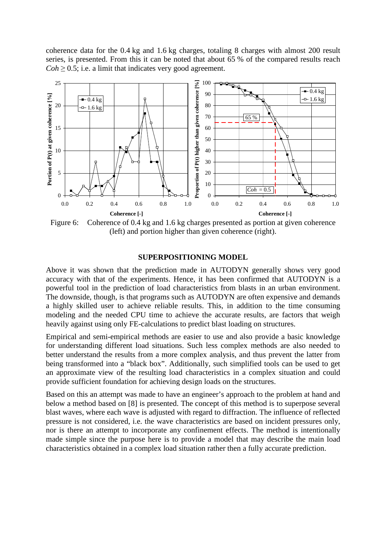coherence data for the 0.4 kg and 1.6 kg charges, totaling 8 charges with almost 200 result series, is presented. From this it can be noted that about 65 % of the compared results reach  $Coh \geq 0.5$ ; i.e. a limit that indicates very good agreement.



Figure 6: Coherence of 0.4 kg and 1.6 kg charges presented as portion at given coherence (left) and portion higher than given coherence (right).

#### **SUPERPOSITIONING MODEL**

Above it was shown that the prediction made in AUTODYN generally shows very good accuracy with that of the experiments. Hence, it has been confirmed that AUTODYN is a powerful tool in the prediction of load characteristics from blasts in an urban environment. The downside, though, is that programs such as AUTODYN are often expensive and demands a highly skilled user to achieve reliable results. This, in addition to the time consuming modeling and the needed CPU time to achieve the accurate results, are factors that weigh heavily against using only FE-calculations to predict blast loading on structures.

Empirical and semi-empirical methods are easier to use and also provide a basic knowledge for understanding different load situations. Such less complex methods are also needed to better understand the results from a more complex analysis, and thus prevent the latter from being transformed into a "black box". Additionally, such simplified tools can be used to get an approximate view of the resulting load characteristics in a complex situation and could provide sufficient foundation for achieving design loads on the structures.

Based on this an attempt was made to have an engineer's approach to the problem at hand and below a method based on [8] is presented. The concept of this method is to superpose several blast waves, where each wave is adjusted with regard to diffraction. The influence of reflected pressure is not considered, i.e. the wave characteristics are based on incident pressures only, nor is there an attempt to incorporate any confinement effects. The method is intentionally made simple since the purpose here is to provide a model that may describe the main load characteristics obtained in a complex load situation rather then a fully accurate prediction.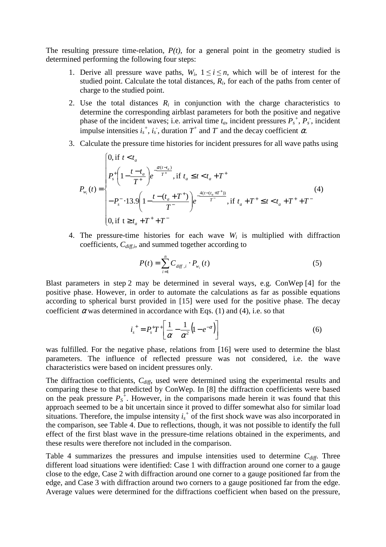The resulting pressure time-relation,  $P(t)$ , for a general point in the geometry studied is determined performing the following four steps:

- 1. Derive all pressure wave paths,  $W_i$ ,  $1 \le i \le n$ , which will be of interest for the studied point. Calculate the total distances,  $R_i$ , for each of the paths from center of charge to the studied point.
- 2. Use the total distances  $R_i$  in conjunction with the charge characteristics to determine the corresponding airblast parameters for both the positive and negative phase of the incident waves; i.e. arrival time  $t_a$ , incident pressures  $P_s^+$ ,  $P_s^-$ , incident impulse intensities  $i_s^{\dagger}, i_s^{\dagger}$ , duration  $T^{\dagger}$  and  $T$  and the decay coefficient  $\alpha$ .
- 3. Calculate the pressure time histories for incident pressures for all wave paths using

$$
P_{w_i}(t) = \begin{cases} 0, \text{ if } t < t_a \\ P_s^+ \left(1 - \frac{t - t_a}{T^+}\right) e^{-\frac{\alpha(t - t_a)}{T^+}}, \text{ if } t_a \le t < t_a + T^+ \\ -P_s^- \cdot 13.9 \left(1 - \frac{t - (t_a + T^+)}{T^-}\right) e^{-\frac{4(t - (t_a + T^+))}{T^-}}, \text{ if } t_a + T^+ \le t < t_a + T^+ + T^- \end{cases} \tag{4}
$$

4. The pressure-time histories for each wave  $W_i$  is multiplied with diffraction coefficients, *Cdiff,i*, and summed together according to

$$
P(t) = \sum_{i=1}^{n} C_{diff,i} \cdot P_{w_i}(t)
$$
 (5)

Blast parameters in step 2 may be determined in several ways, e.g. ConWep [4] for the positive phase. However, in order to automate the calculations as far as possible equations according to spherical burst provided in [15] were used for the positive phase. The decay coefficient  $\alpha$  was determined in accordance with Eqs. (1) and (4), i.e. so that

$$
i_s^+ = P_s^+ T^+ \left[ \frac{1}{\alpha} - \frac{1}{\alpha^2} \left( 1 - e^{-\alpha} \right) \right]
$$
 (6)

was fulfilled. For the negative phase, relations from [16] were used to determine the blast parameters. The influence of reflected pressure was not considered, i.e. the wave characteristics were based on incident pressures only.

The diffraction coefficients, *Cdiff*, used were determined using the experimental results and comparing these to that predicted by ConWep. In [8] the diffraction coefficients were based on the peak pressure  $P_s^+$ . However, in the comparisons made herein it was found that this approach seemed to be a bit uncertain since it proved to differ somewhat also for similar load situations. Therefore, the impulse intensity  $i<sub>s</sub>$ <sup>+</sup> of the first shock wave was also incorporated in the comparison, see Table 4. Due to reflections, though, it was not possible to identify the full effect of the first blast wave in the pressure-time relations obtained in the experiments, and these results were therefore not included in the comparison.

Table 4 summarizes the pressures and impulse intensities used to determine *Cdiff*. Three different load situations were identified: Case 1 with diffraction around one corner to a gauge close to the edge, Case 2 with diffraction around one corner to a gauge positioned far from the edge, and Case 3 with diffraction around two corners to a gauge positioned far from the edge. Average values were determined for the diffractions coefficient when based on the pressure,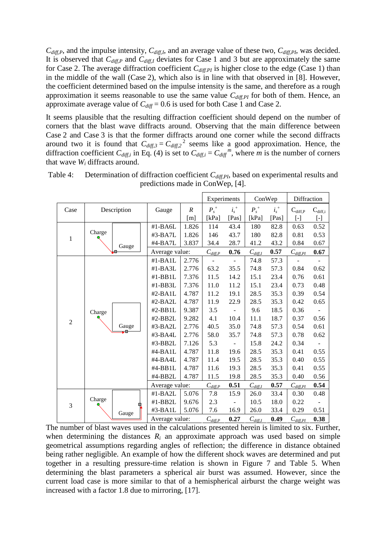*Cdiff,P*, and the impulse intensity, *Cdiff,I*, and an average value of these two, *Cdiff,PI*, was decided. It is observed that  $C_{diff,P}$  and  $C_{diff,I}$  deviates for Case 1 and 3 but are approximately the same for Case 2. The average diffraction coefficient *Cdiff.PI* is higher close to the edge (Case 1) than in the middle of the wall (Case 2), which also is in line with that observed in [8]. However, the coefficient determined based on the impulse intensity is the same, and therefore as a rough approximation it seems reasonable to use the same value *Cdiff,PI* for both of them. Hence, an approximate average value of  $C_{diff} = 0.6$  is used for both Case 1 and Case 2.

It seems plausible that the resulting diffraction coefficient should depend on the number of corners that the blast wave diffracts around. Observing that the main difference between Case 2 and Case 3 is that the former diffracts around one corner while the second diffracts around two it is found that  $C_{diff,3} = C_{diff,2}^2$  seems like a good approximation. Hence, the diffraction coefficient  $C_{diff,i}$  in Eq. (4) is set to  $C_{diff,i} = C_{diff}^{m}$ , where *m* is the number of corners that wave  $W_i$  diffracts around.

|                |             |                |                  | Experiments  |         |              | ConWep  | Diffraction         |              |
|----------------|-------------|----------------|------------------|--------------|---------|--------------|---------|---------------------|--------------|
| Case           | Description | Gauge          | $\boldsymbol{R}$ | $P_s^+$      | $i_s^+$ | $P_s^+$      | $i_s^+$ | $C_{diff,P}$        | $C_{diff,i}$ |
|                |             |                | [m]              | [ $kPa$ ]    | [Pas]   | [ $kPa$ ]    | [Pas]   | $\lbrack - \rbrack$ | $[\cdot]$    |
|                |             | #1-BA6L        | 1.826            | 114          | 43.4    | 180          | 82.8    | 0.63                | 0.52         |
| $\mathbf{1}$   | Charge      | #3-BA7L        | 1.826            | 146          | 43.7    | 180          | 82.8    | 0.81                | 0.53         |
|                | Gauge       | #4-BA7L        | 3.837            | 34.4         | 28.7    | 41.2         | 43.2    | 0.84                | 0.67         |
|                |             | Average value: |                  | $C_{diff,P}$ | 0.76    | $C_{diff,I}$ | 0.57    | $C_{diff,PI}$       | 0.67         |
|                |             | $#1-BA1L$      | 2.776            |              | ÷,      | 74.8         | 57.3    |                     |              |
|                |             | #1-BA3L        | 2.776            | 63.2         | 35.5    | 74.8         | 57.3    | 0.84                | 0.62         |
|                |             | #1-BB1L        | 7.376            | 11.5         | 14.2    | 15.1         | 23.4    | 0.76                | 0.61         |
|                |             | #1-BB3L        | 7.376            | 11.0         | 11.2    | 15.1         | 23.4    | 0.73                | 0.48         |
|                |             | $#2-BAIL$      | 4.787            | 11.2         | 19.1    | 28.5         | 35.3    | 0.39                | 0.54         |
|                |             | #2-BA2L        | 4.787            | 11.9         | 22.9    | 28.5         | 35.3    | 0.42                | 0.65         |
|                | Charge      | $#2-BB1L$      | 9.387            | 3.5          |         | 9.6          | 18.5    | 0.36                |              |
| $\overline{2}$ |             | $#2-BB2L$      | 9.282            | 4.1          | 10.4    | 11.1         | 18.7    | 0.37                | 0.56         |
|                | Gauge       | #3-BA2L        | 2.776            | 40.5         | 35.0    | 74.8         | 57.3    | 0.54                | 0.61         |
|                |             | #3-BA4L        | 2.776            | 58.0         | 35.7    | 74.8         | 57.3    | 0.78                | 0.62         |
|                |             | #3-BB2L        | 7.126            | 5.3          |         | 15.8         | 24.2    | 0.34                |              |
|                |             | #4-BA1L        | 4.787            | 11.8         | 19.6    | 28.5         | 35.3    | 0.41                | 0.55         |
|                |             | #4-BA4L        | 4.787            | 11.4         | 19.5    | 28.5         | 35.3    | 0.40                | 0.55         |
|                |             | #4-BB1L        | 4.787            | 11.6         | 19.3    | 28.5         | 35.3    | 0.41                | 0.55         |
|                |             | #4-BB2L        | 4.787            | 11.5         | 19.8    | 28.5         | 35.3    | 0.40                | 0.56         |
|                |             | Average value: |                  | $C_{diff,P}$ | 0.51    | $C_{diff,I}$ | 0.57    | $C_{diff,PI}$       | 0.54         |
|                |             | #1-BA2L        | 5.076            | 7.8          | 15.9    | 26.0         | 33.4    | 0.30                | 0.48         |
| 3              | Charge      | #1-BB2L        | 9.676            | 2.3          |         | 10.5         | 18.0    | 0.22                |              |
|                | Gauge       | $#3-BAIL$      | 5.076            | 7.6          | 16.9    | 26.0         | 33.4    | 0.29                | 0.51         |
|                |             |                | Average value:   |              | 0.27    | $C_{diff,I}$ | 0.49    | $C_{diff,PI}$       | 0.38         |

Table 4: Determination of diffraction coefficient *C*<sub>diff,PI</sub>, based on experimental results and predictions made in ConWep, [4].

The number of blast waves used in the calculations presented herein is limited to six. Further, when determining the distances  $R_i$  an approximate approach was used based on simple geometrical assumptions regarding angles of reflection; the difference in distance obtained being rather negligible. An example of how the different shock waves are determined and put together in a resulting pressure-time relation is shown in Figure 7 and Table 5. When determining the blast parameters a spherical air burst was assumed. However, since the current load case is more similar to that of a hemispherical airburst the charge weight was increased with a factor 1.8 due to mirroring, [17].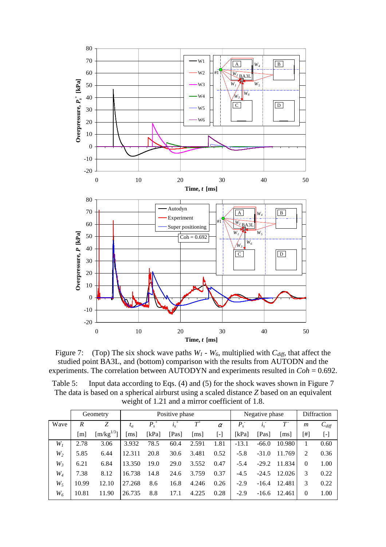

Figure 7: (Top) The six shock wave paths  $W_l$  -  $W_6$ , multiplied with  $C_{diff}$ , that affect the studied point BA3L, and (bottom) comparison with the results from AUTODN and the experiments. The correlation between AUTODYN and experiments resulted in *Coh* = 0.692.

Table 5: Input data according to Eqs. (4) and (5) for the shock waves shown in Figure 7 The data is based on a spherical airburst using a scaled distance *Z* based on an equivalent weight of 1.21 and a mirror coefficient of 1.8.

|                |       | Geometry       |                           | Positive phase |         | Negative phase             | Diffraction               |         |         |                      |          |                   |
|----------------|-------|----------------|---------------------------|----------------|---------|----------------------------|---------------------------|---------|---------|----------------------|----------|-------------------|
| Wave           | R     | Z              | $t_a$                     | $P_{s}^{\ +}$  | $i_s^+$ | $T^{\scriptscriptstyle +}$ | $\alpha$                  | $P_{s}$ | $i_s$   | $T^{\cdot}$          | m        | $C_{\text{diff}}$ |
|                | [m]   | $[m/kg^{1/3}]$ | $\lceil \text{ms} \rceil$ | [kPa]          | [Pas]   | $\lceil ms \rceil$         | $\left[ \text{-} \right]$ | [kPa]   | [Pas]   | $\lfloor ms \rfloor$ | [#]      | $[\cdot]$         |
| W <sub>I</sub> | 2.78  | 3.06           | 3.932                     | 78.5           | 60.4    | 2.591                      | 1.81                      | $-13.1$ | $-66.0$ | 10.980               |          | 0.60              |
| $W_2$          | 5.85  | 6.44           | 12.311                    | 20.8           | 30.6    | 3.481                      | 0.52                      | $-5.8$  | $-31.0$ | 11.769               | 2        | 0.36              |
| $W_3$          | 6.21  | 6.84           | 13.350                    | 19.0           | 29.0    | 3.552                      | 0.47                      | $-5.4$  | $-29.2$ | 11.834               | $\Omega$ | 1.00              |
| $W_4$          | 7.38  | 8.12           | 16.738                    | 14.8           | 24.6    | 3.759                      | 0.37                      | $-4.5$  | $-24.5$ | 12.026               | 3        | 0.22              |
| $W_5$          | 10.99 | 12.10          | 27.268                    | 8.6            | 16.8    | 4.246                      | 0.26                      | $-2.9$  | $-16.4$ | 12.481               | 3        | 0.22              |
| $W_6$          | 10.81 | 11.90          | 26.735                    | 8.8            | 17.1    | 4.225                      | 0.28                      | $-2.9$  | $-16.6$ | 12.461               | $\Omega$ | 1.00              |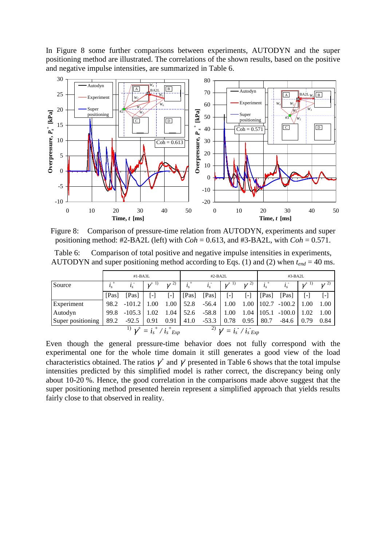In Figure 8 some further comparisons between experiments, AUTODYN and the super positioning method are illustrated. The correlations of the shown results, based on the positive and negative impulse intensities, are summarized in Table 6.



Figure 8: Comparison of pressure-time relation from AUTODYN, experiments and super positioning method: #2-BA2L (left) with  $Coh = 0.613$ , and #3-BA2L, with  $Coh = 0.571$ .

Table 6: Comparison of total positive and negative impulse intensities in experiments, AUTODYN and super positioning method according to Eqs. (1) and (2) when  $t_{end} = 40$  ms.

|                   |       | $#1-BA3L$                                                                                            |               |                   |       | $#2-BA2L$     |                                                                                                |                | $#3-BA2L$ |                        |               |                   |
|-------------------|-------|------------------------------------------------------------------------------------------------------|---------------|-------------------|-------|---------------|------------------------------------------------------------------------------------------------|----------------|-----------|------------------------|---------------|-------------------|
| Source            |       | $i_{s}$                                                                                              | $\gamma^{+1}$ | $\gamma^{(2)}$    |       | $i_s$         | $\gamma^{+1)}$                                                                                 | $\gamma^{(2)}$ |           |                        | $\gamma^{+1}$ | $\gamma^{(2)}$    |
|                   | [Pas] | [Pas]                                                                                                | $\mathsf{L}$  | $\lceil - \rceil$ | [Pas] | [Pas]         | $[\cdot]$                                                                                      | $[\cdot]$      | [Pas]     | [Pas]                  | $\mathsf{L}$  | $\lceil - \rceil$ |
| Experiment        |       | $98.2 -101.2$                                                                                        | 1.00          | 1.00              |       | $52.8 - 56.4$ | 1.00                                                                                           | 1.00           |           | $102.7 - 100.2$   1.00 |               | 1.00              |
| Autodyn           | 99.8  | $-105.3$                                                                                             | 1.02          | 1.04              | 52.6  | $-58.8$       | 1.00                                                                                           | 1.04           |           | $105.1 - 100.0$   1.02 |               | 1.00              |
| Super positioning | 89.2  | $-92.5$                                                                                              | 0.91          | 0.91              | 41.0  | $-53.3$       | 0.78                                                                                           | 0.95           | 80.7      | $-84.6$                | 0.79          | 0.84              |
|                   |       | $^{-1)}$ $\gamma^{+} = i_{\scriptscriptstyle S}^{\; +}$ / $i_{\scriptscriptstyle S}^{\; +}$ $_{Exp}$ |               |                   |       |               | $^{(2)}$ $\gamma^{\text{}}$ = $i_{\scriptscriptstyle S}$ / $i_{\scriptscriptstyle S}$ $_{Exp}$ |                |           |                        |               |                   |

Even though the general pressure-time behavior does not fully correspond with the experimental one for the whole time domain it still generates a good view of the load characteristics obtained. The ratios  $\gamma^+$  and  $\gamma^-$  presented in Table 6 shows that the total impulse intensities predicted by this simplified model is rather correct, the discrepancy being only about 10-20 %. Hence, the good correlation in the comparisons made above suggest that the super positioning method presented herein represent a simplified approach that yields results fairly close to that observed in reality.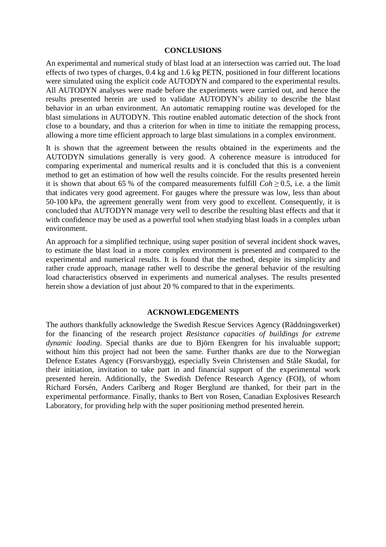### **CONCLUSIONS**

An experimental and numerical study of blast load at an intersection was carried out. The load effects of two types of charges, 0.4 kg and 1.6 kg PETN, positioned in four different locations were simulated using the explicit code AUTODYN and compared to the experimental results. All AUTODYN analyses were made before the experiments were carried out, and hence the results presented herein are used to validate AUTODYN's ability to describe the blast behavior in an urban environment. An automatic remapping routine was developed for the blast simulations in AUTODYN. This routine enabled automatic detection of the shock front close to a boundary, and thus a criterion for when in time to initiate the remapping process, allowing a more time efficient approach to large blast simulations in a complex environment.

It is shown that the agreement between the results obtained in the experiments and the AUTODYN simulations generally is very good. A coherence measure is introduced for comparing experimental and numerical results and it is concluded that this is a convenient method to get an estimation of how well the results coincide. For the results presented herein it is shown that about 65 % of the compared measurements fulfill  $Coh \ge 0.5$ , i.e. a the limit that indicates very good agreement. For gauges where the pressure was low, less than about 50-100 kPa, the agreement generally went from very good to excellent. Consequently, it is concluded that AUTODYN manage very well to describe the resulting blast effects and that it with confidence may be used as a powerful tool when studying blast loads in a complex urban environment.

An approach for a simplified technique, using super position of several incident shock waves, to estimate the blast load in a more complex environment is presented and compared to the experimental and numerical results. It is found that the method, despite its simplicity and rather crude approach, manage rather well to describe the general behavior of the resulting load characteristics observed in experiments and numerical analyses. The results presented herein show a deviation of just about 20 % compared to that in the experiments.

### **ACKNOWLEDGEMENTS**

The authors thankfully acknowledge the Swedish Rescue Services Agency (Räddningsverket) for the financing of the research project *Resistance capacities of buildings for extreme dynamic loading*. Special thanks are due to Björn Ekengren for his invaluable support; without him this project had not been the same. Further thanks are due to the Norwegian Defence Estates Agency (Forsvarsbygg), especially Svein Christensen and Ståle Skudal, for their initiation, invitation to take part in and financial support of the experimental work presented herein. Additionally, the Swedish Defence Research Agency (FOI), of whom Richard Forsén, Anders Carlberg and Roger Berglund are thanked, for their part in the experimental performance. Finally, thanks to Bert von Rosen, Canadian Explosives Research Laboratory, for providing help with the super positioning method presented herein.